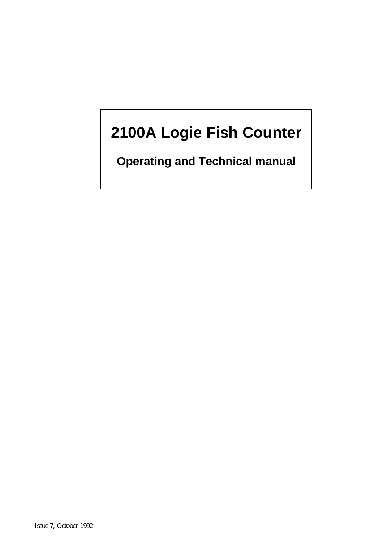# **2100A Logie Fish Counter**

**Operating and Technical manual**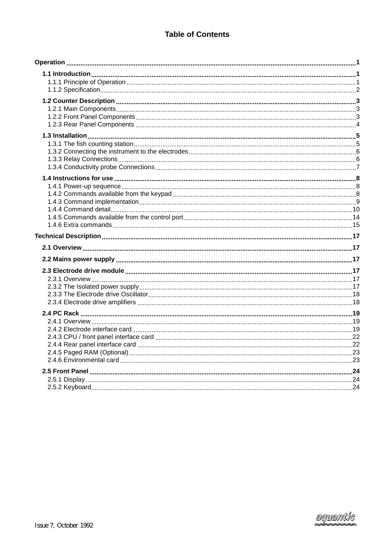# **Table of Contents**

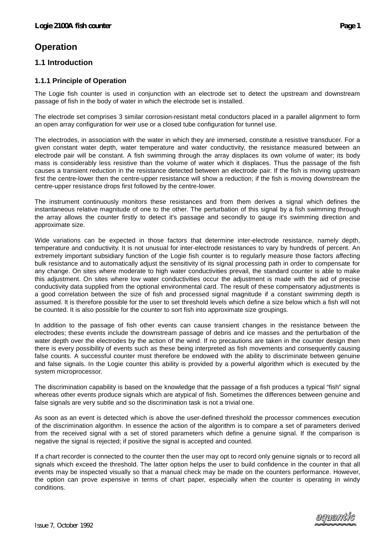# **Operation**

# **1.1 Introduction**

#### **1.1.1 Principle of Operation**

The Logie fish counter is used in conjunction with an electrode set to detect the upstream and downstream passage of fish in the body of water in which the electrode set is installed.

The electrode set comprises 3 similar corrosion-resistant metal conductors placed in a parallel alignment to form an open array configuration for weir use or a closed tube configuration for tunnel use.

The electrodes, in association with the water in which they are immersed, constitute a resistive transducer. For a given constant water depth, water temperature and water conductivity, the resistance measured between an electrode pair will be constant. A fish swimming through the array displaces its own volume of water; its body mass is considerably less resistive than the volume of water which it displaces. Thus the passage of the fish causes a transient reduction in the resistance detected between an electrode pair. If the fish is moving upstream first the centre-lower then the centre-upper resistance will show a reduction; if the fish is moving downstream the centre-upper resistance drops first followed by the centre-lower.

The instrument continuously monitors these resistances and from them derives a signal which defines the instantaneous relative magnitude of one to the other. The perturbation of this signal by a fish swimming through the array allows the counter firstly to detect it's passage and secondly to gauge it's swimming direction and approximate size.

Wide variations can be expected in those factors that determine inter-electrode resistance, namely depth, temperature and conductivity. It is not unusual for inter-electrode resistances to vary by hundreds of percent. An extremely important subsidiary function of the Logie fish counter is to regularly measure those factors affecting bulk resistance and to automatically adjust the sensitivity of its signal processing path in order to compensate for any change. On sites where moderate to high water conductivities prevail, the standard counter is able to make this adjustment. On sites where low water conductivities occur the adjustment is made with the aid of precise conductivity data supplied from the optional environmental card. The result of these compensatory adjustments is a good correlation between the size of fish and processed signal magnitude if a constant swimming depth is assumed. It is therefore possible for the user to set threshold levels which define a size below which a fish will not be counted. It is also possible for the counter to sort fish into approximate size groupings.

In addition to the passage of fish other events can cause transient changes in the resistance between the electrodes; these events include the downstream passage of debris and ice masses and the perturbation of the water depth over the electrodes by the action of the wind. If no precautions are taken in the counter design then there is every possibility of events such as these being interpreted as fish movements and consequently causing false counts. A successful counter must therefore be endowed with the ability to discriminate between genuine and false signals. In the Logie counter this ability is provided by a powerful algorithm which is executed by the system microprocessor.

The discrimination capability is based on the knowledge that the passage of a fish produces a typical "fish" signal whereas other events produce signals which are atypical of fish. Sometimes the differences between genuine and false signals are very subtle and so the discrimination task is not a trivial one.

As soon as an event is detected which is above the user-defined threshold the processor commences execution of the discrimination algorithm. In essence the action of the algorithm is to compare a set of parameters derived from the received signal with a set of stored parameters which define a genuine signal. If the comparison is negative the signal is rejected; if positive the signal is accepted and counted.

If a chart recorder is connected to the counter then the user may opt to record only genuine signals or to record all signals which exceed the threshold. The latter option helps the user to build confidence in the counter in that all events may be inspected visually so that a manual check may be made on the counters performance. However, the option can prove expensive in terms of chart paper, especially when the counter is operating in windy conditions.

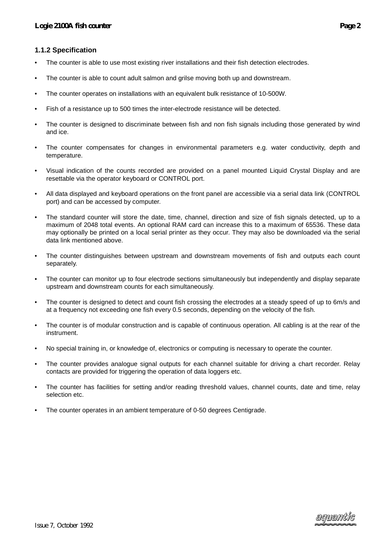#### **1.1.2 Specification**

- The counter is able to use most existing river installations and their fish detection electrodes.
- The counter is able to count adult salmon and grilse moving both up and downstream.
- The counter operates on installations with an equivalent bulk resistance of 10-500W.
- Fish of a resistance up to 500 times the inter-electrode resistance will be detected.
- The counter is designed to discriminate between fish and non fish signals including those generated by wind and ice.
- The counter compensates for changes in environmental parameters e.g. water conductivity, depth and temperature.
- Visual indication of the counts recorded are provided on a panel mounted Liquid Crystal Display and are resettable via the operator keyboard or CONTROL port.
- All data displayed and keyboard operations on the front panel are accessible via a serial data link (CONTROL port) and can be accessed by computer.
- The standard counter will store the date, time, channel, direction and size of fish signals detected, up to a maximum of 2048 total events. An optional RAM card can increase this to a maximum of 65536. These data may optionally be printed on a local serial printer as they occur. They may also be downloaded via the serial data link mentioned above.
- The counter distinguishes between upstream and downstream movements of fish and outputs each count separately.
- The counter can monitor up to four electrode sections simultaneously but independently and display separate upstream and downstream counts for each simultaneously.
- The counter is designed to detect and count fish crossing the electrodes at a steady speed of up to 6m/s and at a frequency not exceeding one fish every 0.5 seconds, depending on the velocity of the fish.
- The counter is of modular construction and is capable of continuous operation. All cabling is at the rear of the instrument.
- No special training in, or knowledge of, electronics or computing is necessary to operate the counter.
- The counter provides analogue signal outputs for each channel suitable for driving a chart recorder. Relay contacts are provided for triggering the operation of data loggers etc.
- The counter has facilities for setting and/or reading threshold values, channel counts, date and time, relay selection etc.
- The counter operates in an ambient temperature of 0-50 degrees Centigrade.



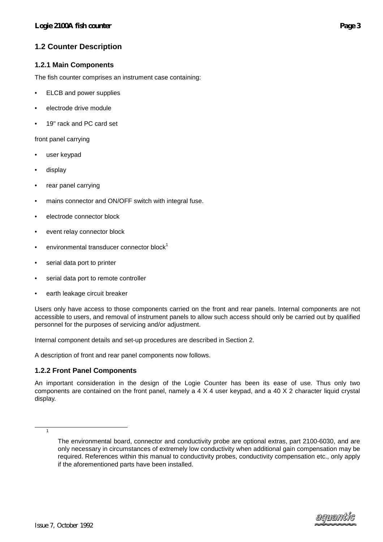# **1.2 Counter Description**

#### **1.2.1 Main Components**

The fish counter comprises an instrument case containing:

- ELCB and power supplies
- electrode drive module
- 19" rack and PC card set

front panel carrying

- user keypad
- display
- rear panel carrying
- mains connector and ON/OFF switch with integral fuse.
- electrode connector block
- event relay connector block
- environmental transducer connector block<sup>1</sup>
- serial data port to printer
- serial data port to remote controller
- earth leakage circuit breaker

Users only have access to those components carried on the front and rear panels. Internal components are not accessible to users, and removal of instrument panels to allow such access should only be carried out by qualified personnel for the purposes of servicing and/or adjustment.

Internal component details and set-up procedures are described in Section 2.

A description of front and rear panel components now follows.

#### **1.2.2 Front Panel Components**

An important consideration in the design of the Logie Counter has been its ease of use. Thus only two components are contained on the front panel, namely a 4 X 4 user keypad, and a 40 X 2 character liquid crystal display.

 $\overline{\phantom{0}}$  1

The environmental board, connector and conductivity probe are optional extras, part 2100-6030, and are only necessary in circumstances of extremely low conductivity when additional gain compensation may be required. References within this manual to conductivity probes, conductivity compensation etc., only apply if the aforementioned parts have been installed.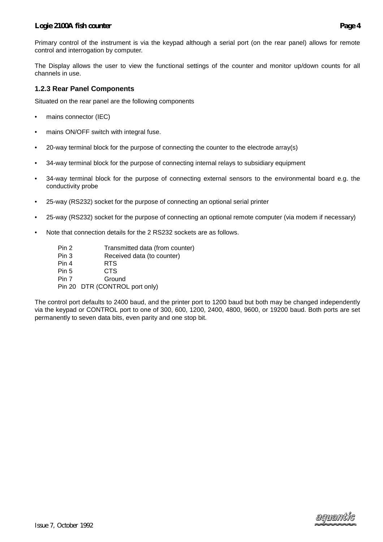Primary control of the instrument is via the keypad although a serial port (on the rear panel) allows for remote control and interrogation by computer.

The Display allows the user to view the functional settings of the counter and monitor up/down counts for all channels in use.

#### **1.2.3 Rear Panel Components**

Situated on the rear panel are the following components

- mains connector (IEC)
- mains ON/OFF switch with integral fuse.
- 20-way terminal block for the purpose of connecting the counter to the electrode array(s)
- 34-way terminal block for the purpose of connecting internal relays to subsidiary equipment
- 34-way terminal block for the purpose of connecting external sensors to the environmental board e.g. the conductivity probe
- 25-way (RS232) socket for the purpose of connecting an optional serial printer
- 25-way (RS232) socket for the purpose of connecting an optional remote computer (via modem if necessary)
- Note that connection details for the 2 RS232 sockets are as follows.
	- Pin 2 Transmitted data (from counter)
	- Pin 3 Received data (to counter)
	- Pin 4 RTS
	- Pin 5 CTS
	- Pin 7 Ground

Pin 20 DTR (CONTROL port only)

The control port defaults to 2400 baud, and the printer port to 1200 baud but both may be changed independently via the keypad or CONTROL port to one of 300, 600, 1200, 2400, 4800, 9600, or 19200 baud. Both ports are set permanently to seven data bits, even parity and one stop bit.

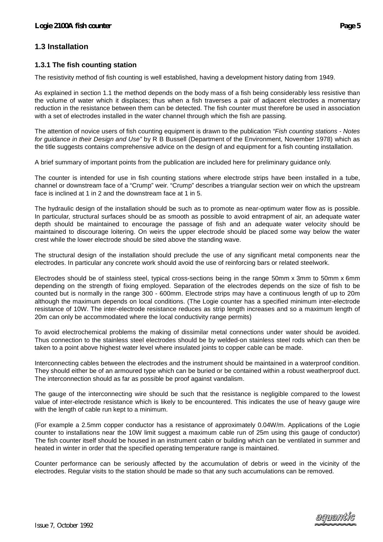# **1.3 Installation**

#### **1.3.1 The fish counting station**

The resistivity method of fish counting is well established, having a development history dating from 1949.

As explained in section 1.1 the method depends on the body mass of a fish being considerably less resistive than the volume of water which it displaces; thus when a fish traverses a pair of adjacent electrodes a momentary reduction in the resistance between them can be detected. The fish counter must therefore be used in association with a set of electrodes installed in the water channel through which the fish are passing.

The attention of novice users of fish counting equipment is drawn to the publication *"Fish counting stations - Notes for guidance in their Design and Use"* by R B Bussell (Department of the Environment, November 1978) which as the title suggests contains comprehensive advice on the design of and equipment for a fish counting installation.

A brief summary of important points from the publication are included here for preliminary guidance only.

The counter is intended for use in fish counting stations where electrode strips have been installed in a tube, channel or downstream face of a "Crump" weir. "Crump" describes a triangular section weir on which the upstream face is inclined at 1 in 2 and the downstream face at 1 in 5.

The hydraulic design of the installation should be such as to promote as near-optimum water flow as is possible. In particular, structural surfaces should be as smooth as possible to avoid entrapment of air, an adequate water depth should be maintained to encourage the passage of fish and an adequate water velocity should be maintained to discourage loitering. On weirs the upper electrode should be placed some way below the water crest while the lower electrode should be sited above the standing wave.

The structural design of the installation should preclude the use of any significant metal components near the electrodes. In particular any concrete work should avoid the use of reinforcing bars or related steelwork.

Electrodes should be of stainless steel, typical cross-sections being in the range 50mm x 3mm to 50mm x 6mm depending on the strength of fixing employed. Separation of the electrodes depends on the size of fish to be counted but is normally in the range 300 - 600mm. Electrode strips may have a continuous length of up to 20m although the maximum depends on local conditions. (The Logie counter has a specified minimum inter-electrode resistance of 10W. The inter-electrode resistance reduces as strip length increases and so a maximum length of 20m can only be accommodated where the local conductivity range permits)

To avoid electrochemical problems the making of dissimilar metal connections under water should be avoided. Thus connection to the stainless steel electrodes should be by welded-on stainless steel rods which can then be taken to a point above highest water level where insulated joints to copper cable can be made.

Interconnecting cables between the electrodes and the instrument should be maintained in a waterproof condition. They should either be of an armoured type which can be buried or be contained within a robust weatherproof duct. The interconnection should as far as possible be proof against vandalism.

The gauge of the interconnecting wire should be such that the resistance is negligible compared to the lowest value of inter-electrode resistance which is likely to be encountered. This indicates the use of heavy gauge wire with the length of cable run kept to a minimum.

(For example a 2.5mm copper conductor has a resistance of approximately 0.04W/m. Applications of the Logie counter to installations near the 10W limit suggest a maximum cable run of 25m using this gauge of conductor) The fish counter itself should be housed in an instrument cabin or building which can be ventilated in summer and heated in winter in order that the specified operating temperature range is maintained.

Counter performance can be seriously affected by the accumulation of debris or weed in the vicinity of the electrodes. Regular visits to the station should be made so that any such accumulations can be removed.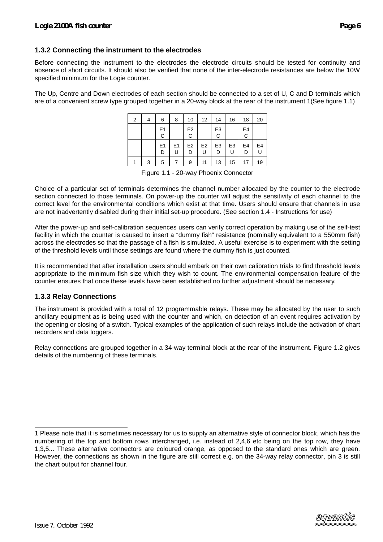### **1.3.2 Connecting the instrument to the electrodes**

Before connecting the instrument to the electrodes the electrode circuits should be tested for continuity and absence of short circuits. It should also be verified that none of the inter-electrode resistances are below the 10W specified minimum for the Logie counter.

The Up, Centre and Down electrodes of each section should be connected to a set of U, C and D terminals which are of a convenient screw type grouped together in a 20-way block at the rear of the instrument 1(See figure 1.1)

| 2 | 4 | 6                   | 8                   | 10                  | 12                  | 14                  | 16                  | 18      | 20             |
|---|---|---------------------|---------------------|---------------------|---------------------|---------------------|---------------------|---------|----------------|
|   |   | E <sub>1</sub><br>C |                     | E <sub>2</sub><br>С |                     | E <sub>3</sub><br>C |                     | E4<br>С |                |
|   |   | E <sub>1</sub><br>D | E <sub>1</sub><br>U | E <sub>2</sub><br>D | E <sub>2</sub><br>U | E <sub>3</sub><br>D | E <sub>3</sub><br>U | E4<br>D | E <sub>4</sub> |
|   | 3 | 5                   |                     | 9                   | 11                  | 13                  | 15                  | 17      | 19             |

Figure 1.1 - 20-way Phoenix Connector

Choice of a particular set of terminals determines the channel number allocated by the counter to the electrode section connected to those terminals. On power-up the counter will adjust the sensitivity of each channel to the correct level for the environmental conditions which exist at that time. Users should ensure that channels in use are not inadvertently disabled during their initial set-up procedure. (See section 1.4 - Instructions for use)

After the power-up and self-calibration sequences users can verify correct operation by making use of the self-test facility in which the counter is caused to insert a "dummy fish" resistance (nominally equivalent to a 550mm fish) across the electrodes so that the passage of a fish is simulated. A useful exercise is to experiment with the setting of the threshold levels until those settings are found where the dummy fish is just counted.

It is recommended that after installation users should embark on their own calibration trials to find threshold levels appropriate to the minimum fish size which they wish to count. The environmental compensation feature of the counter ensures that once these levels have been established no further adjustment should be necessary.

#### **1.3.3 Relay Connections**

The instrument is provided with a total of 12 programmable relays. These may be allocated by the user to such ancillary equipment as is being used with the counter and which, on detection of an event requires activation by the opening or closing of a switch. Typical examples of the application of such relays include the activation of chart recorders and data loggers.

Relay connections are grouped together in a 34-way terminal block at the rear of the instrument. Figure 1.2 gives details of the numbering of these terminals.



l,

<sup>1</sup> Please note that it is sometimes necessary for us to supply an alternative style of connector block, which has the numbering of the top and bottom rows interchanged, i.e. instead of 2,4,6 etc being on the top row, they have 1,3,5... These alternative connectors are coloured orange, as opposed to the standard ones which are green. However, the connections as shown in the figure are still correct e.g. on the 34-way relay connector, pin 3 is still the chart output for channel four.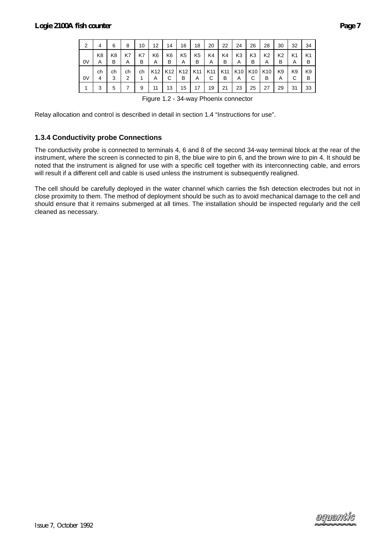| 2  | 4       | 6       | 8       | 10      | 12                   | 14                   | 16                   | 18       | 20       | 22       | 24                   | 26                   | 28                   | 30                  | 32      | 34      |
|----|---------|---------|---------|---------|----------------------|----------------------|----------------------|----------|----------|----------|----------------------|----------------------|----------------------|---------------------|---------|---------|
| 0V | K8<br>A | K8<br>в | K7<br>A | K7<br>в | K6<br>A              | K6<br>в              | K <sub>5</sub><br>A  | K5<br>B  | K4<br>Α  | K4<br>В  | K <sub>3</sub><br>A  | K3<br>в              | K <sub>2</sub><br>A  | K2<br>В             | K1<br>A | K1<br>B |
| 0V | ch<br>4 | ch<br>3 | ch<br>2 | ch      | K <sub>12</sub><br>A | K <sub>12</sub><br>С | K <sub>12</sub><br>в | K11<br>A | K11<br>С | K11<br>B | K <sub>10</sub><br>A | K <sub>10</sub><br>С | K <sub>10</sub><br>в | K <sub>9</sub><br>A | K9<br>С | K9<br>B |
|    | 3       | 5       | 7       | 9       | 11                   | 13                   | 15                   | 17       | 19       | 21       | 23                   | 25                   | 27                   | 29                  | 31      | 33      |

Figure 1.2 - 34-way Phoenix connector

Relay allocation and control is described in detail in section 1.4 "Instructions for use".

### **1.3.4 Conductivity probe Connections**

The conductivity probe is connected to terminals 4, 6 and 8 of the second 34-way terminal block at the rear of the instrument, where the screen is connected to pin 8, the blue wire to pin 6, and the brown wire to pin 4. It should be noted that the instrument is aligned for use with a specific cell together with its interconnecting cable, and errors will result if a different cell and cable is used unless the instrument is subsequently realigned.

The cell should be carefully deployed in the water channel which carries the fish detection electrodes but not in close proximity to them. The method of deployment should be such as to avoid mechanical damage to the cell and should ensure that it remains submerged at all times. The installation should be inspected regularly and the cell cleaned as necessary.

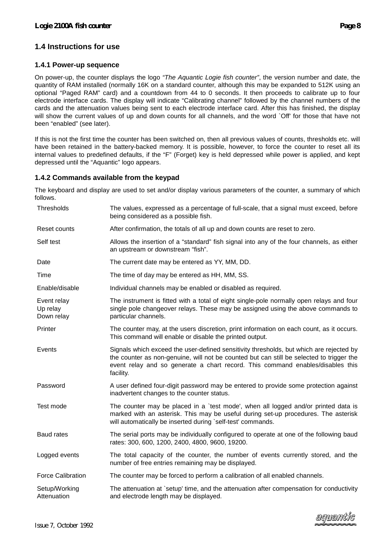# **1.4 Instructions for use**

#### **1.4.1 Power-up sequence**

On power-up, the counter displays the logo *"The Aquantic Logie fish counter"*, the version number and date, the quantity of RAM installed (normally 16K on a standard counter, although this may be expanded to 512K using an optional "Paged RAM" card) and a countdown from 44 to 0 seconds. It then proceeds to calibrate up to four electrode interface cards. The display will indicate "Calibrating channel" followed by the channel numbers of the cards and the attenuation values being sent to each electrode interface card. After this has finished, the display will show the current values of up and down counts for all channels, and the word `Off' for those that have not been "enabled" (see later).

If this is not the first time the counter has been switched on, then all previous values of counts, thresholds etc. will have been retained in the battery-backed memory. It is possible, however, to force the counter to reset all its internal values to predefined defaults, if the "F" (Forget) key is held depressed while power is applied, and kept depressed until the "Aquantic" logo appears.

### **1.4.2 Commands available from the keypad**

The keyboard and display are used to set and/or display various parameters of the counter, a summary of which follows.

| Thresholds                            | The values, expressed as a percentage of full-scale, that a signal must exceed, before<br>being considered as a possible fish.                                                                                                                                                     |
|---------------------------------------|------------------------------------------------------------------------------------------------------------------------------------------------------------------------------------------------------------------------------------------------------------------------------------|
| Reset counts                          | After confirmation, the totals of all up and down counts are reset to zero.                                                                                                                                                                                                        |
| Self test                             | Allows the insertion of a "standard" fish signal into any of the four channels, as either<br>an upstream or downstream "fish".                                                                                                                                                     |
| Date                                  | The current date may be entered as YY, MM, DD.                                                                                                                                                                                                                                     |
| Time                                  | The time of day may be entered as HH, MM, SS.                                                                                                                                                                                                                                      |
| Enable/disable                        | Individual channels may be enabled or disabled as required.                                                                                                                                                                                                                        |
| Event relay<br>Up relay<br>Down relay | The instrument is fitted with a total of eight single-pole normally open relays and four<br>single pole changeover relays. These may be assigned using the above commands to<br>particular channels.                                                                               |
| Printer                               | The counter may, at the users discretion, print information on each count, as it occurs.<br>This command will enable or disable the printed output.                                                                                                                                |
| Events                                | Signals which exceed the user-defined sensitivity thresholds, but which are rejected by<br>the counter as non-genuine, will not be counted but can still be selected to trigger the<br>event relay and so generate a chart record. This command enables/disables this<br>facility. |
| Password                              | A user defined four-digit password may be entered to provide some protection against<br>inadvertent changes to the counter status.                                                                                                                                                 |
| Test mode                             | The counter may be placed in a 'test mode', when all logged and/or printed data is<br>marked with an asterisk. This may be useful during set-up procedures. The asterisk<br>will automatically be inserted during `self-test' commands.                                            |
| <b>Baud rates</b>                     | The serial ports may be individually configured to operate at one of the following baud<br>rates: 300, 600, 1200, 2400, 4800, 9600, 19200.                                                                                                                                         |
| Logged events                         | The total capacity of the counter, the number of events currently stored, and the<br>number of free entries remaining may be displayed.                                                                                                                                            |
| <b>Force Calibration</b>              | The counter may be forced to perform a calibration of all enabled channels.                                                                                                                                                                                                        |
| Setup/Working<br>Attenuation          | The attenuation at `setup' time, and the attenuation after compensation for conductivity<br>and electrode length may be displayed.                                                                                                                                                 |

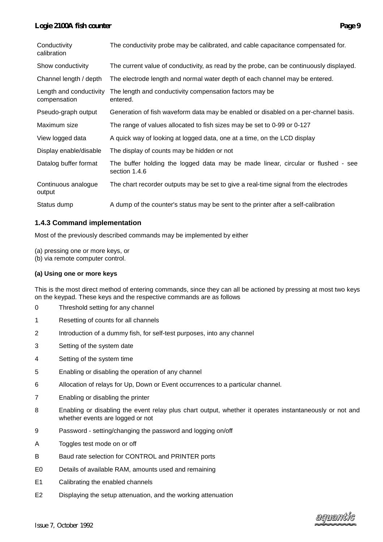| Conductivity<br>calibration             | The conductivity probe may be calibrated, and cable capacitance compensated for.                  |
|-----------------------------------------|---------------------------------------------------------------------------------------------------|
| Show conductivity                       | The current value of conductivity, as read by the probe, can be continuously displayed.           |
| Channel length / depth                  | The electrode length and normal water depth of each channel may be entered.                       |
| Length and conductivity<br>compensation | The length and conductivity compensation factors may be<br>entered.                               |
| Pseudo-graph output                     | Generation of fish waveform data may be enabled or disabled on a per-channel basis.               |
| Maximum size                            | The range of values allocated to fish sizes may be set to 0-99 or 0-127                           |
| View logged data                        | A quick way of looking at logged data, one at a time, on the LCD display                          |
| Display enable/disable                  | The display of counts may be hidden or not                                                        |
| Datalog buffer format                   | The buffer holding the logged data may be made linear, circular or flushed - see<br>section 1.4.6 |
| Continuous analogue<br>output           | The chart recorder outputs may be set to give a real-time signal from the electrodes              |
| Status dump                             | A dump of the counter's status may be sent to the printer after a self-calibration                |

#### **1.4.3 Command implementation**

Most of the previously described commands may be implemented by either

(a) pressing one or more keys, or

(b) via remote computer control.

#### **(a) Using one or more keys**

This is the most direct method of entering commands, since they can all be actioned by pressing at most two keys on the keypad. These keys and the respective commands are as follows

- 0 Threshold setting for any channel
- 1 Resetting of counts for all channels
- 2 Introduction of a dummy fish, for self-test purposes, into any channel
- 3 Setting of the system date
- 4 Setting of the system time
- 5 Enabling or disabling the operation of any channel
- 6 Allocation of relays for Up, Down or Event occurrences to a particular channel.
- 7 Enabling or disabling the printer
- 8 Enabling or disabling the event relay plus chart output, whether it operates instantaneously or not and whether events are logged or not
- 9 Password setting/changing the password and logging on/off
- A Toggles test mode on or off
- B Baud rate selection for CONTROL and PRINTER ports
- E0 Details of available RAM, amounts used and remaining
- E1 Calibrating the enabled channels
- E2 Displaying the setup attenuation, and the working attenuation

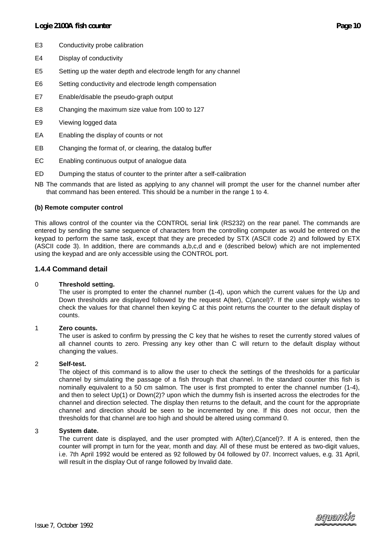- E3 Conductivity probe calibration
- E4 Display of conductivity
- E5 Setting up the water depth and electrode length for any channel
- E6 Setting conductivity and electrode length compensation
- E7 Enable/disable the pseudo-graph output
- E8 Changing the maximum size value from 100 to 127
- E9 Viewing logged data
- EA Enabling the display of counts or not
- EB Changing the format of, or clearing, the datalog buffer
- EC Enabling continuous output of analogue data
- ED Dumping the status of counter to the printer after a self-calibration
- NB The commands that are listed as applying to any channel will prompt the user for the channel number after that command has been entered. This should be a number in the range 1 to 4.

#### **(b) Remote computer control**

This allows control of the counter via the CONTROL serial link (RS232) on the rear panel. The commands are entered by sending the same sequence of characters from the controlling computer as would be entered on the keypad to perform the same task, except that they are preceded by STX (ASCII code 2) and followed by ETX (ASCII code 3). In addition, there are commands a,b,c,d and e (described below) which are not implemented using the keypad and are only accessible using the CONTROL port.

#### **1.4.4 Command detail**

#### 0 **Threshold setting.**

The user is prompted to enter the channel number (1-4), upon which the current values for the Up and Down thresholds are displayed followed by the request A(lter), C(ancel)?. If the user simply wishes to check the values for that channel then keying C at this point returns the counter to the default display of counts.

#### 1 **Zero counts.**

The user is asked to confirm by pressing the C key that he wishes to reset the currently stored values of all channel counts to zero. Pressing any key other than C will return to the default display without changing the values.

#### 2 **Self-test.**

The object of this command is to allow the user to check the settings of the thresholds for a particular channel by simulating the passage of a fish through that channel. In the standard counter this fish is nominally equivalent to a 50 cm salmon. The user is first prompted to enter the channel number (1-4), and then to select Up(1) or Down(2)? upon which the dummy fish is inserted across the electrodes for the channel and direction selected. The display then returns to the default, and the count for the appropriate channel and direction should be seen to be incremented by one. If this does not occur, then the thresholds for that channel are too high and should be altered using command 0.

#### 3 **System date.**

The current date is displayed, and the user prompted with A(lter),C(ancel)?. If A is entered, then the counter will prompt in turn for the year, month and day. All of these must be entered as two-digit values, i.e. 7th April 1992 would be entered as 92 followed by 04 followed by 07. Incorrect values, e.g. 31 April, will result in the display Out of range followed by Invalid date.

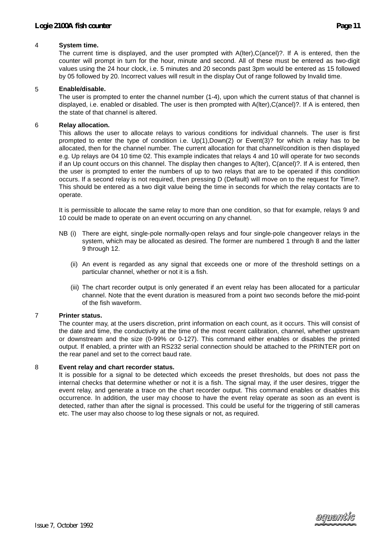#### 4 **System time.**

The current time is displayed, and the user prompted with A(lter),C(ancel)?. If A is entered, then the counter will prompt in turn for the hour, minute and second. All of these must be entered as two-digit values using the 24 hour clock, i.e. 5 minutes and 20 seconds past 3pm would be entered as 15 followed by 05 followed by 20. Incorrect values will result in the display Out of range followed by Invalid time.

#### 5 **Enable/disable.**

The user is prompted to enter the channel number (1-4), upon which the current status of that channel is displayed, i.e. enabled or disabled. The user is then prompted with A(lter),C(ancel)?. If A is entered, then the state of that channel is altered.

#### 6 **Relay allocation.**

This allows the user to allocate relays to various conditions for individual channels. The user is first prompted to enter the type of condition i.e. Up(1),Down(2) or Event(3)? for which a relay has to be allocated, then for the channel number. The current allocation for that channel/condition is then displayed e.g. Up relays are 04 10 time 02. This example indicates that relays 4 and 10 will operate for two seconds if an Up count occurs on this channel. The display then changes to A(lter), C(ancel)?. If A is entered, then the user is prompted to enter the numbers of up to two relays that are to be operated if this condition occurs. If a second relay is not required, then pressing D (Default) will move on to the request for Time?. This should be entered as a two digit value being the time in seconds for which the relay contacts are to operate.

It is permissible to allocate the same relay to more than one condition, so that for example, relays 9 and 10 could be made to operate on an event occurring on any channel.

- NB (i) There are eight, single-pole normally-open relays and four single-pole changeover relays in the system, which may be allocated as desired. The former are numbered 1 through 8 and the latter 9 through 12.
	- (ii) An event is regarded as any signal that exceeds one or more of the threshold settings on a particular channel, whether or not it is a fish.
	- (iii) The chart recorder output is only generated if an event relay has been allocated for a particular channel. Note that the event duration is measured from a point two seconds before the mid-point of the fish waveform.

#### 7 **Printer status.**

The counter may, at the users discretion, print information on each count, as it occurs. This will consist of the date and time, the conductivity at the time of the most recent calibration, channel, whether upstream or downstream and the size (0-99% or 0-127). This command either enables or disables the printed output. If enabled, a printer with an RS232 serial connection should be attached to the PRINTER port on the rear panel and set to the correct baud rate.

#### 8 **Event relay and chart recorder status.**

It is possible for a signal to be detected which exceeds the preset thresholds, but does not pass the internal checks that determine whether or not it is a fish. The signal may, if the user desires, trigger the event relay, and generate a trace on the chart recorder output. This command enables or disables this occurrence. In addition, the user may choose to have the event relay operate as soon as an event is detected, rather than after the signal is processed. This could be useful for the triggering of still cameras etc. The user may also choose to log these signals or not, as required.

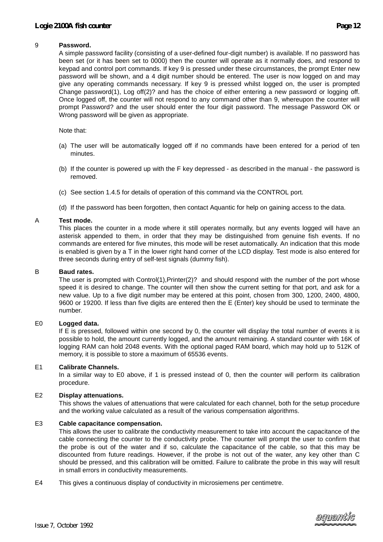#### 9 **Password.**

A simple password facility (consisting of a user-defined four-digit number) is available. If no password has been set (or it has been set to 0000) then the counter will operate as it normally does, and respond to keypad and control port commands. If key 9 is pressed under these circumstances, the prompt Enter new password will be shown, and a 4 digit number should be entered. The user is now logged on and may give any operating commands necessary. If key 9 is pressed whilst logged on, the user is prompted Change password(1), Log off(2)? and has the choice of either entering a new password or logging off. Once logged off, the counter will not respond to any command other than 9, whereupon the counter will prompt Password? and the user should enter the four digit password. The message Password OK or Wrong password will be given as appropriate.

Note that:

- (a) The user will be automatically logged off if no commands have been entered for a period of ten minutes.
- (b) If the counter is powered up with the F key depressed as described in the manual the password is removed.
- (c) See section 1.4.5 for details of operation of this command via the CONTROL port.
- (d) If the password has been forgotten, then contact Aquantic for help on gaining access to the data.

#### A **Test mode.**

This places the counter in a mode where it still operates normally, but any events logged will have an asterisk appended to them, in order that they may be distinguished from genuine fish events. If no commands are entered for five minutes, this mode will be reset automatically. An indication that this mode is enabled is given by a T in the lower right hand corner of the LCD display. Test mode is also entered for three seconds during entry of self-test signals (dummy fish).

#### B **Baud rates.**

The user is prompted with Control(1),Printer(2)? and should respond with the number of the port whose speed it is desired to change. The counter will then show the current setting for that port, and ask for a new value. Up to a five digit number may be entered at this point, chosen from 300, 1200, 2400, 4800, 9600 or 19200. If less than five digits are entered then the E (Enter) key should be used to terminate the number.

#### E0 **Logged data.**

If E is pressed, followed within one second by 0, the counter will display the total number of events it is possible to hold, the amount currently logged, and the amount remaining. A standard counter with 16K of logging RAM can hold 2048 events. With the optional paged RAM board, which may hold up to 512K of memory, it is possible to store a maximum of 65536 events.

#### E1 **Calibrate Channels.**

In a similar way to E0 above, if 1 is pressed instead of 0, then the counter will perform its calibration procedure.

#### E2 **Display attenuations.**

This shows the values of attenuations that were calculated for each channel, both for the setup procedure and the working value calculated as a result of the various compensation algorithms.

#### E3 **Cable capacitance compensation.**

This allows the user to calibrate the conductivity measurement to take into account the capacitance of the cable connecting the counter to the conductivity probe. The counter will prompt the user to confirm that the probe is out of the water and if so, calculate the capacitance of the cable, so that this may be discounted from future readings. However, if the probe is not out of the water, any key other than C should be pressed, and this calibration will be omitted. Failure to calibrate the probe in this way will result in small errors in conductivity measurements.

E4 This gives a continuous display of conductivity in microsiemens per centimetre.

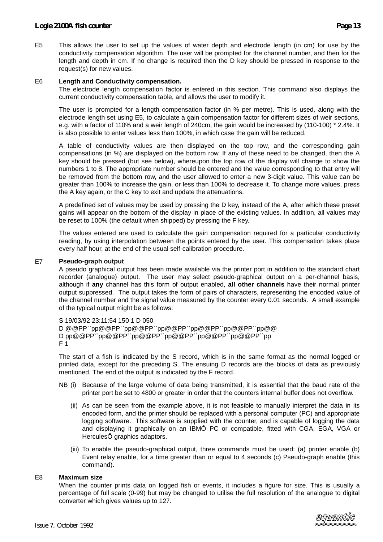E5 This allows the user to set up the values of water depth and electrode length (in cm) for use by the conductivity compensation algorithm. The user will be prompted for the channel number, and then for the length and depth in cm. If no change is required then the D key should be pressed in response to the request(s) for new values.

#### **Length and Conductivity compensation.** E6

The electrode length compensation factor is entered in this section. This command also displays the current conductivity compensation table, and allows the user to modify it.

The user is prompted for a length compensation factor (in % per metre). This is used, along with the electrode length set using E5, to calculate a gain compensation factor for different sizes of weir sections, e.g. with a factor of 110% and a weir length of 240cm, the gain would be increased by (110-100) \* 2.4%. It is also possible to enter values less than 100%, in which case the gain will be reduced.

A table of conductivity values are then displayed on the top row, and the corresponding gain compensations (in %) are displayed on the bottom row. If any of these need to be changed, then the A key should be pressed (but see below), whereupon the top row of the display will change to show the numbers 1 to 8. The appropriate number should be entered and the value corresponding to that entry will be removed from the bottom row, and the user allowed to enter a new 3-digit value. This value can be greater than 100% to increase the gain, or less than 100% to decrease it. To change more values, press the A key again, or the C key to exit and update the attenuations.

A predefined set of values may be used by pressing the D key, instead of the A, after which these preset gains will appear on the bottom of the display in place of the existing values. In addition, all values may be reset to 100% (the default when shipped) by pressing the F key.

The values entered are used to calculate the gain compensation required for a particular conductivity reading, by using interpolation between the points entered by the user. This compensation takes place every half hour, at the end of the usual self-calibration procedure.

#### **Pseudo-graph output** E7

A pseudo graphical output has been made available via the printer port in addition to the standard chart recorder (analogue) output. The user may select pseudo-graphical output on a per-channel basis, although if **any** channel has this form of output enabled, **all other channels** have their normal printer output suppressed. The output takes the form of pairs of characters, representing the encoded value of the channel number and the signal value measured by the counter every 0.01 seconds. A small example of the typical output might be as follows:

S 19/03/92 23:11:54 150 1 D 050 D @@PP``pp@@PP``pp@@PP``pp@@PP``pp@@PP``pp@@PP``pp@@ D pp@@PP``pp@@PP``pp@@PP``pp@@PP``pp@@PP``pp@@PP``pp F 1

The start of a fish is indicated by the S record, which is in the same format as the normal logged or printed data, except for the preceding S. The ensuing D records are the blocks of data as previously mentioned. The end of the output is indicated by the F record.

- NB (i) Because of the large volume of data being transmitted, it is essential that the baud rate of the printer port be set to 4800 or greater in order that the counters internal buffer does not overflow.
	- (ii) As can be seen from the example above, it is not feasible to manually interpret the data in its encoded form, and the printer should be replaced with a personal computer (PC) and appropriate logging software. This software is supplied with the counter, and is capable of logging the data and displaying it graphically on an IBMÔ PC or compatible, fitted with CGA, EGA, VGA or HerculesÔ graphics adaptors.
	- (iii) To enable the pseudo-graphical output, three commands must be used: (a) printer enable (b) Event relay enable, for a time greater than or equal to 4 seconds (c) Pseudo-graph enable (this command).

#### E8 **Maximum size**

When the counter prints data on logged fish or events, it includes a figure for size. This is usually a percentage of full scale (0-99) but may be changed to utilise the full resolution of the analogue to digital converter which gives values up to 127.

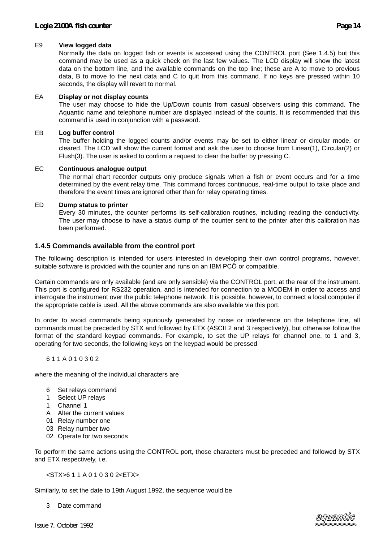#### E9 **View logged data**

Normally the data on logged fish or events is accessed using the CONTROL port (See 1.4.5) but this command may be used as a quick check on the last few values. The LCD display will show the latest data on the bottom line, and the available commands on the top line; these are A to move to previous data, B to move to the next data and C to quit from this command. If no keys are pressed within 10 seconds, the display will revert to normal.

#### EA **Display or not display counts**

The user may choose to hide the Up/Down counts from casual observers using this command. The Aquantic name and telephone number are displayed instead of the counts. It is recommended that this command is used in conjunction with a password.

#### EB **Log buffer control**

The buffer holding the logged counts and/or events may be set to either linear or circular mode, or cleared. The LCD will show the current format and ask the user to choose from Linear(1), Circular(2) or Flush(3). The user is asked to confirm a request to clear the buffer by pressing C.

#### EC **Continuous analogue output**

The normal chart recorder outputs only produce signals when a fish or event occurs and for a time determined by the event relay time. This command forces continuous, real-time output to take place and therefore the event times are ignored other than for relay operating times.

#### ED **Dump status to printer**

Every 30 minutes, the counter performs its self-calibration routines, including reading the conductivity. The user may choose to have a status dump of the counter sent to the printer after this calibration has been performed.

#### **1.4.5 Commands available from the control port**

The following description is intended for users interested in developing their own control programs, however, suitable software is provided with the counter and runs on an IBM PCÔ or compatible.

Certain commands are only available (and are only sensible) via the CONTROL port, at the rear of the instrument. This port is configured for RS232 operation, and is intended for connection to a MODEM in order to access and interrogate the instrument over the public telephone network. It is possible, however, to connect a local computer if the appropriate cable is used. All the above commands are also available via this port.

In order to avoid commands being spuriously generated by noise or interference on the telephone line, all commands must be preceded by STX and followed by ETX (ASCII 2 and 3 respectively), but otherwise follow the format of the standard keypad commands. For example, to set the UP relays for channel one, to 1 and 3, operating for two seconds, the following keys on the keypad would be pressed

#### 6 1 1 A 0 1 0 3 0 2

where the meaning of the individual characters are

- 6 Set relays command
- 1 Select UP relays
- 1 Channel 1
- A Alter the current values
- 01 Relay number one
- 03 Relay number two
- 02 Operate for two seconds

To perform the same actions using the CONTROL port, those characters must be preceded and followed by STX and ETX respectively, i.e.

#### <STX>6 1 1 A 0 1 0 3 0 2<ETX>

Similarly, to set the date to 19th August 1992, the sequence would be

3 Date command

*Issue 7, October 1992*

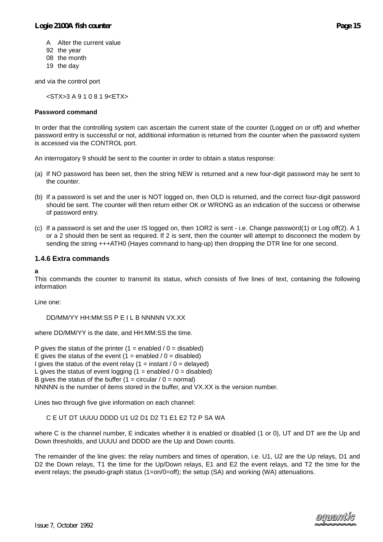- A Alter the current value
- 92 the year
- 08 the month
- 19 the day

and via the control port

<STX>3 A 9 1 0 8 1 9<ETX>

#### **Password command**

In order that the controlling system can ascertain the current state of the counter (Logged on or off) and whether password entry is successful or not, additional information is returned from the counter when the password system is accessed via the CONTROL port.

An interrogatory 9 should be sent to the counter in order to obtain a status response:

- (a) If NO password has been set, then the string NEW is returned and a new four-digit password may be sent to the counter.
- (b) If a password is set and the user is NOT logged on, then OLD is returned, and the correct four-digit password should be sent. The counter will then return either OK or WRONG as an indication of the success or otherwise of password entry.
- (c) If a password is set and the user IS logged on, then 1OR2 is sent i.e. Change password(1) or Log off(2). A 1 or a 2 should then be sent as required. If 2 is sent, then the counter will attempt to disconnect the modem by sending the string +++ATH0 (Hayes command to hang-up) then dropping the DTR line for one second.

#### **1.4.6 Extra commands**

#### **a**

This commands the counter to transmit its status, which consists of five lines of text, containing the following information

Line one:

DD/MM/YY HH:MM:SS P E I L B NNNNN VX.XX

where DD/MM/YY is the date, and HH:MM:SS the time.

P gives the status of the printer  $(1 =$  enabled  $/ 0 =$  disabled) E gives the status of the event  $(1 =$  enabled  $/ 0 =$  disabled) I gives the status of the event relay  $(1 = \text{instant} / 0 = \text{delayed})$ L gives the status of event logging  $(1 =$  enabled  $/ 0 =$  disabled) B gives the status of the buffer  $(1 =$  circular  $/ 0 =$  normal) NNNNN is the number of items stored in the buffer, and VX.XX is the version number.

Lines two through five give information on each channel:

C E UT DT UUUU DDDD U1 U2 D1 D2 T1 E1 E2 T2 P SA WA

where C is the channel number, E indicates whether it is enabled or disabled (1 or 0), UT and DT are the Up and Down thresholds, and UUUU and DDDD are the Up and Down counts.

The remainder of the line gives: the relay numbers and times of operation, i.e. U1, U2 are the Up relays, D1 and D2 the Down relays, T1 the time for the Up/Down relays, E1 and E2 the event relays, and T2 the time for the event relays; the pseudo-graph status (1=on/0=off); the setup (SA) and working (WA) attenuations.

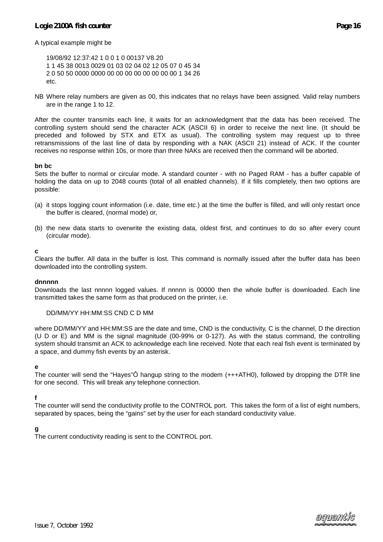A typical example might be

19/08/92 12:37:42 1 0 0 1 0 00137 V8.20 1 1 45 38 0013 0029 01 03 02 04 02 12 05 07 0 45 34 2 0 50 50 0000 0000 00 00 00 00 00 00 00 00 1 34 26 etc.

NB Where relay numbers are given as 00, this indicates that no relays have been assigned. Valid relay numbers are in the range 1 to 12.

After the counter transmits each line, it waits for an acknowledgment that the data has been received. The controlling system should send the character ACK (ASCII 6) in order to receive the next line. (It should be preceded and followed by STX and ETX as usual). The controlling system may request up to three retransmissions of the last line of data by responding with a NAK (ASCII 21) instead of ACK. If the counter receives no response within 10s, or more than three NAKs are received then the command will be aborted.

#### **bn bc**

Sets the buffer to normal or circular mode. A standard counter - with no Paged RAM - has a buffer capable of holding the data on up to 2048 counts (total of all enabled channels). If it fills completely, then two options are possible:

- (a) it stops logging count information (i.e. date, time etc.) at the time the buffer is filled, and will only restart once the buffer is cleared, (normal mode) or,
- (b) the new data starts to overwrite the existing data, oldest first, and continues to do so after every count (circular mode).

#### **c**

Clears the buffer. All data in the buffer is lost. This command is normally issued after the buffer data has been downloaded into the controlling system.

#### **dnnnnn**

Downloads the last nnnnn logged values. If nnnnn is 00000 then the whole buffer is downloaded. Each line transmitted takes the same form as that produced on the printer, i.e.

#### DD/MM/YY HH:MM:SS CND C D MM

where DD/MM/YY and HH:MM:SS are the date and time, CND is the conductivity, C is the channel, D the direction (U D or E) and MM is the signal magnitude (00-99% or 0-127). As with the status command, the controlling system should transmit an ACK to acknowledge each line received. Note that each real fish event is terminated by a space, and dummy fish events by an asterisk.

#### **e**

The counter will send the "Hayes"Ô hangup string to the modem (+++ATH0), followed by dropping the DTR line for one second. This will break any telephone connection.

#### **f**

The counter will send the conductivity profile to the CONTROL port. This takes the form of a list of eight numbers, separated by spaces, being the "gains" set by the user for each standard conductivity value.

#### **g**

The current conductivity reading is sent to the CONTROL port.

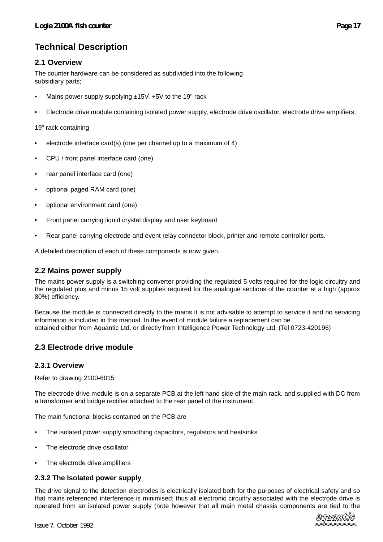# **Technical Description**

# **2.1 Overview**

The counter hardware can be considered as subdivided into the following subsidiary parts;

- Mains power supply supplying ±15V, +5V to the 19" rack
- Electrode drive module containing isolated power supply, electrode drive oscillator, electrode drive amplifiers.

19" rack containing

- electrode interface card(s) (one per channel up to a maximum of 4)
- CPU / front panel interface card (one)
- rear panel interface card (one)
- optional paged RAM card (one)
- optional environment card (one)
- Front panel carrying liquid crystal display and user keyboard
- Rear panel carrying electrode and event relay connector block, printer and remote controller ports.

A detailed description of each of these components is now given.

### **2.2 Mains power supply**

The mains power supply is a switching converter providing the regulated 5 volts required for the logic circuitry and the regulated plus and minus 15 volt supplies required for the analogue sections of the counter at a high (approx 80%) efficiency.

Because the module is connected directly to the mains it is not advisable to attempt to service it and no servicing information is included in this manual. In the event of module failure a replacement can be obtained either from Aquantic Ltd. or directly from Intelligence Power Technology Ltd. (Tel 0723-420196)

# **2.3 Electrode drive module**

#### **2.3.1 Overview**

Refer to drawing 2100-6015

The electrode drive module is on a separate PCB at the left hand side of the main rack, and supplied with DC from a transformer and bridge rectifier attached to the rear panel of the instrument.

The main functional blocks contained on the PCB are

- The isolated power supply smoothing capacitors, regulators and heatsinks
- The electrode drive oscillator
- The electrode drive amplifiers

#### **2.3.2 The Isolated power supply**

The drive signal to the detection electrodes is electrically isolated both for the purposes of electrical safety and so that mains referenced interference is minimised; thus all electronic circuitry associated with the electrode drive is operated from an isolated power supply (note however that all main metal chassis components are tied to the

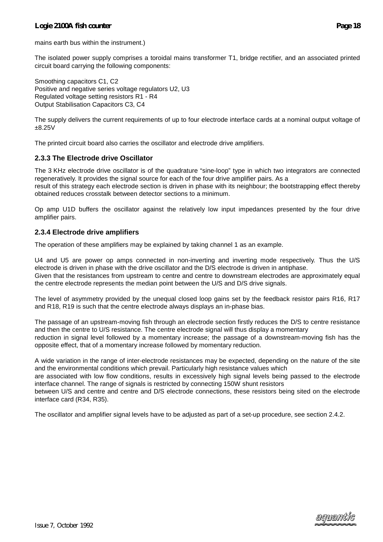mains earth bus within the instrument.)

The isolated power supply comprises a toroidal mains transformer T1, bridge rectifier, and an associated printed circuit board carrying the following components:

Smoothing capacitors C1, C2 Positive and negative series voltage regulators U2, U3 Regulated voltage setting resistors R1 - R4 Output Stabilisation Capacitors C3, C4

The supply delivers the current requirements of up to four electrode interface cards at a nominal output voltage of ±8.25V

The printed circuit board also carries the oscillator and electrode drive amplifiers.

#### **2.3.3 The Electrode drive Oscillator**

The 3 KHz electrode drive oscillator is of the quadrature "sine-loop" type in which two integrators are connected regeneratively. It provides the signal source for each of the four drive amplifier pairs. As a

result of this strategy each electrode section is driven in phase with its neighbour; the bootstrapping effect thereby obtained reduces crosstalk between detector sections to a minimum.

Op amp U1D buffers the oscillator against the relatively low input impedances presented by the four drive amplifier pairs.

#### **2.3.4 Electrode drive amplifiers**

The operation of these amplifiers may be explained by taking channel 1 as an example.

U4 and U5 are power op amps connected in non-inverting and inverting mode respectively. Thus the U/S electrode is driven in phase with the drive oscillator and the D/S electrode is driven in antiphase. Given that the resistances from upstream to centre and centre to downstream electrodes are approximately equal the centre electrode represents the median point between the U/S and D/S drive signals.

The level of asymmetry provided by the unequal closed loop gains set by the feedback resistor pairs R16, R17 and R18, R19 is such that the centre electrode always displays an in-phase bias.

The passage of an upstream-moving fish through an electrode section firstly reduces the D/S to centre resistance and then the centre to U/S resistance. The centre electrode signal will thus display a momentary reduction in signal level followed by a momentary increase; the passage of a downstream-moving fish has the opposite effect, that of a momentary increase followed by momentary reduction.

A wide variation in the range of inter-electrode resistances may be expected, depending on the nature of the site and the environmental conditions which prevail. Particularly high resistance values which

are associated with low flow conditions, results in excessively high signal levels being passed to the electrode interface channel. The range of signals is restricted by connecting 150W shunt resistors

between U/S and centre and centre and D/S electrode connections, these resistors being sited on the electrode interface card (R34, R35).

The oscillator and amplifier signal levels have to be adjusted as part of a set-up procedure, see section 2.4.2.

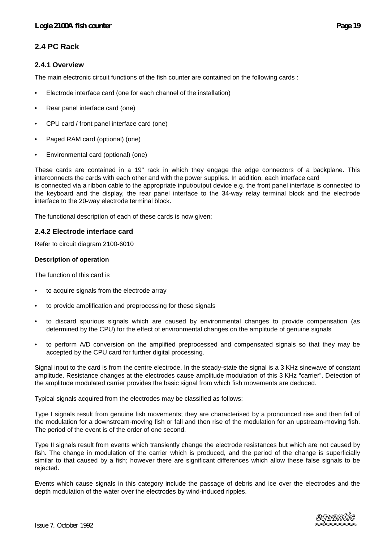# **2.4 PC Rack**

### **2.4.1 Overview**

The main electronic circuit functions of the fish counter are contained on the following cards :

- Electrode interface card (one for each channel of the installation)
- Rear panel interface card (one)
- CPU card / front panel interface card (one)
- Paged RAM card (optional) (one)
- Environmental card (optional) (one)

These cards are contained in a 19" rack in which they engage the edge connectors of a backplane. This interconnects the cards with each other and with the power supplies. In addition, each interface card is connected via a ribbon cable to the appropriate input/output device e.g. the front panel interface is connected to the keyboard and the display, the rear panel interface to the 34-way relay terminal block and the electrode interface to the 20-way electrode terminal block.

The functional description of each of these cards is now given;

#### **2.4.2 Electrode interface card**

Refer to circuit diagram 2100-6010

#### **Description of operation**

The function of this card is

- to acquire signals from the electrode array
- to provide amplification and preprocessing for these signals
- to discard spurious signals which are caused by environmental changes to provide compensation (as determined by the CPU) for the effect of environmental changes on the amplitude of genuine signals
- to perform A/D conversion on the amplified preprocessed and compensated signals so that they may be accepted by the CPU card for further digital processing.

Signal input to the card is from the centre electrode. In the steady-state the signal is a 3 KHz sinewave of constant amplitude. Resistance changes at the electrodes cause amplitude modulation of this 3 KHz "carrier". Detection of the amplitude modulated carrier provides the basic signal from which fish movements are deduced.

Typical signals acquired from the electrodes may be classified as follows:

Type I signals result from genuine fish movements; they are characterised by a pronounced rise and then fall of the modulation for a downstream-moving fish or fall and then rise of the modulation for an upstream-moving fish. The period of the event is of the order of one second.

Type II signals result from events which transiently change the electrode resistances but which are not caused by fish. The change in modulation of the carrier which is produced, and the period of the change is superficially similar to that caused by a fish; however there are significant differences which allow these false signals to be rejected.

Events which cause signals in this category include the passage of debris and ice over the electrodes and the depth modulation of the water over the electrodes by wind-induced ripples.

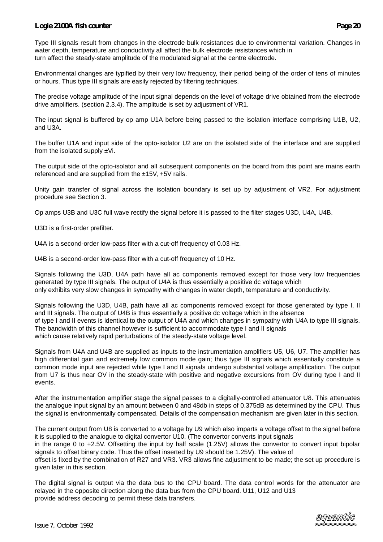Type III signals result from changes in the electrode bulk resistances due to environmental variation. Changes in water depth, temperature and conductivity all affect the bulk electrode resistances which in turn affect the steady-state amplitude of the modulated signal at the centre electrode.

Environmental changes are typified by their very low frequency, their period being of the order of tens of minutes or hours. Thus type III signals are easily rejected by filtering techniques.

The precise voltage amplitude of the input signal depends on the level of voltage drive obtained from the electrode drive amplifiers. (section 2.3.4). The amplitude is set by adjustment of VR1.

The input signal is buffered by op amp U1A before being passed to the isolation interface comprising U1B, U2, and U3A.

The buffer U1A and input side of the opto-isolator U2 are on the isolated side of the interface and are supplied from the isolated supply  $\pm$ Vi.

The output side of the opto-isolator and all subsequent components on the board from this point are mains earth referenced and are supplied from the ±15V, +5V rails.

Unity gain transfer of signal across the isolation boundary is set up by adjustment of VR2. For adjustment procedure see Section 3.

Op amps U3B and U3C full wave rectify the signal before it is passed to the filter stages U3D, U4A, U4B.

U3D is a first-order prefilter.

U4A is a second-order low-pass filter with a cut-off frequency of 0.03 Hz.

U4B is a second-order low-pass filter with a cut-off frequency of 10 Hz.

Signals following the U3D, U4A path have all ac components removed except for those very low frequencies generated by type III signals. The output of U4A is thus essentially a positive dc voltage which only exhibits very slow changes in sympathy with changes in water depth, temperature and conductivity.

Signals following the U3D, U4B, path have all ac components removed except for those generated by type I, II and III signals. The output of U4B is thus essentially a positive dc voltage which in the absence of type I and II events is identical to the output of U4A and which changes in sympathy with U4A to type III signals. The bandwidth of this channel however is sufficient to accommodate type I and II signals which cause relatively rapid perturbations of the steady-state voltage level.

Signals from U4A and U4B are supplied as inputs to the instrumentation amplifiers U5, U6, U7. The amplifier has high differential gain and extremely low common mode gain; thus type III signals which essentially constitute a common mode input are rejected while type I and II signals undergo substantial voltage amplification. The output from U7 is thus near OV in the steady-state with positive and negative excursions from OV during type I and II events.

After the instrumentation amplifier stage the signal passes to a digitally-controlled attenuator U8. This attenuates the analogue input signal by an amount between 0 and 48db in steps of 0.375dB as determined by the CPU. Thus the signal is environmentally compensated. Details of the compensation mechanism are given later in this section.

The current output from U8 is converted to a voltage by U9 which also imparts a voltage offset to the signal before it is supplied to the analogue to digital convertor U10. (The convertor converts input signals in the range 0 to +2.5V. Offsetting the input by half scale (1.25V) allows the convertor to convert input bipolar signals to offset binary code. Thus the offset inserted by U9 should be 1.25V). The value of

offset is fixed by the combination of R27 and VR3. VR3 allows fine adjustment to be made; the set up procedure is given later in this section.

The digital signal is output via the data bus to the CPU board. The data control words for the attenuator are relayed in the opposite direction along the data bus from the CPU board. U11, U12 and U13 provide address decoding to permit these data transfers.

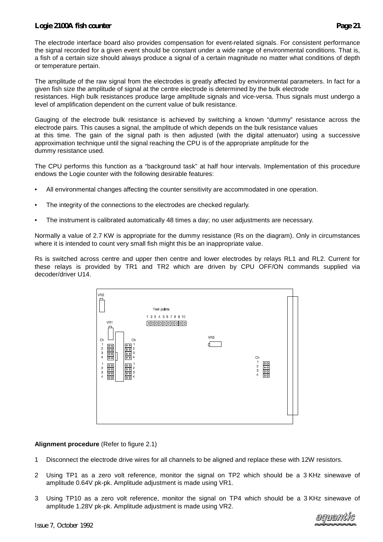The electrode interface board also provides compensation for event-related signals. For consistent performance the signal recorded for a given event should be constant under a wide range of environmental conditions. That is, a fish of a certain size should always produce a signal of a certain magnitude no matter what conditions of depth or temperature pertain.

The amplitude of the raw signal from the electrodes is greatly affected by environmental parameters. In fact for a given fish size the amplitude of signal at the centre electrode is determined by the bulk electrode resistances. High bulk resistances produce large amplitude signals and vice-versa. Thus signals must undergo a level of amplification dependent on the current value of bulk resistance.

Gauging of the electrode bulk resistance is achieved by switching a known "dummy" resistance across the electrode pairs. This causes a signal, the amplitude of which depends on the bulk resistance values at this time. The gain of the signal path is then adjusted (with the digital attenuator) using a successive approximation technique until the signal reaching the CPU is of the appropriate amplitude for the dummy resistance used.

The CPU performs this function as a "background task" at half hour intervals. Implementation of this procedure endows the Logie counter with the following desirable features:

- All environmental changes affecting the counter sensitivity are accommodated in one operation.
- The integrity of the connections to the electrodes are checked regularly.
- The instrument is calibrated automatically 48 times a day; no user adjustments are necessary.

Normally a value of 2.7 KW is appropriate for the dummy resistance (Rs on the diagram). Only in circumstances where it is intended to count very small fish might this be an inappropriate value.

Rs is switched across centre and upper then centre and lower electrodes by relays RL1 and RL2. Current for these relays is provided by TR1 and TR2 which are driven by CPU OFF/ON commands supplied via decoder/driver U14.



#### **Alignment procedure** (Refer to figure 2.1)

- 1 Disconnect the electrode drive wires for all channels to be aligned and replace these with 12W resistors.
- 2 Using TP1 as a zero volt reference, monitor the signal on TP2 which should be a 3 KHz sinewave of amplitude 0.64V pk-pk. Amplitude adjustment is made using VR1.
- 3 Using TP10 as a zero volt reference, monitor the signal on TP4 which should be a 3 KHz sinewave of amplitude 1.28V pk-pk. Amplitude adjustment is made using VR2.

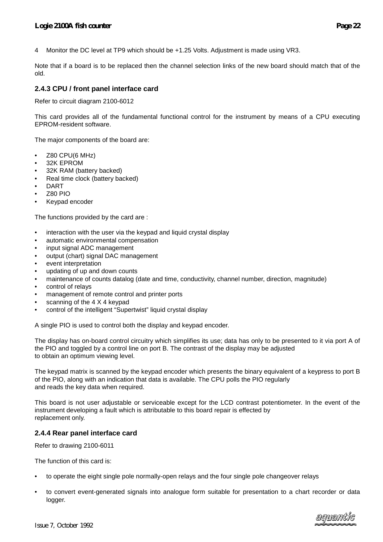4 Monitor the DC level at TP9 which should be +1.25 Volts. Adjustment is made using VR3.

Note that if a board is to be replaced then the channel selection links of the new board should match that of the old.

#### **2.4.3 CPU / front panel interface card**

Refer to circuit diagram 2100-6012

This card provides all of the fundamental functional control for the instrument by means of a CPU executing EPROM-resident software.

The major components of the board are:

- Z80 CPU(6 MHz)
- 32K EPROM
- 32K RAM (battery backed)
- Real time clock (battery backed)
- DART
- Z80 PIO
- Keypad encoder

The functions provided by the card are :

- interaction with the user via the keypad and liquid crystal display
- automatic environmental compensation
- input signal ADC management
- output (chart) signal DAC management
- event interpretation
- updating of up and down counts
- maintenance of counts datalog (date and time, conductivity, channel number, direction, magnitude)
- control of relays
- management of remote control and printer ports
- scanning of the 4 X 4 keypad
- control of the intelligent "Supertwist" liquid crystal display

A single PIO is used to control both the display and keypad encoder.

The display has on-board control circuitry which simplifies its use; data has only to be presented to it via port A of the PIO and toggled by a control line on port B. The contrast of the display may be adjusted to obtain an optimum viewing level.

The keypad matrix is scanned by the keypad encoder which presents the binary equivalent of a keypress to port B of the PIO, along with an indication that data is available. The CPU polls the PIO regularly and reads the key data when required.

This board is not user adjustable or serviceable except for the LCD contrast potentiometer. In the event of the instrument developing a fault which is attributable to this board repair is effected by replacement only.

#### **2.4.4 Rear panel interface card**

Refer to drawing 2100-6011

The function of this card is:

- to operate the eight single pole normally-open relays and the four single pole changeover relays
- to convert event-generated signals into analogue form suitable for presentation to a chart recorder or data logger.

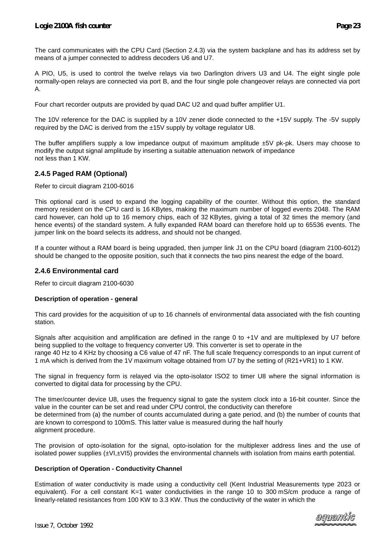The card communicates with the CPU Card (Section 2.4.3) via the system backplane and has its address set by means of a jumper connected to address decoders U6 and U7.

A PIO, U5, is used to control the twelve relays via two Darlington drivers U3 and U4. The eight single pole normally-open relays are connected via port B, and the four single pole changeover relays are connected via port A.

Four chart recorder outputs are provided by quad DAC U2 and quad buffer amplifier U1.

The 10V reference for the DAC is supplied by a 10V zener diode connected to the +15V supply. The -5V supply required by the DAC is derived from the ±15V supply by voltage regulator U8.

The buffer amplifiers supply a low impedance output of maximum amplitude  $±5V$  pk-pk. Users may choose to modify the output signal amplitude by inserting a suitable attenuation network of impedance not less than 1 KW.

# **2.4.5 Paged RAM (Optional)**

Refer to circuit diagram 2100-6016

This optional card is used to expand the logging capability of the counter. Without this option, the standard memory resident on the CPU card is 16 KBytes, making the maximum number of logged events 2048. The RAM card however, can hold up to 16 memory chips, each of 32 KBytes, giving a total of 32 times the memory (and hence events) of the standard system. A fully expanded RAM board can therefore hold up to 65536 events. The jumper link on the board selects its address, and should not be changed.

If a counter without a RAM board is being upgraded, then jumper link J1 on the CPU board (diagram 2100-6012) should be changed to the opposite position, such that it connects the two pins nearest the edge of the board.

#### **2.4.6 Environmental card**

Refer to circuit diagram 2100-6030

#### **Description of operation - general**

This card provides for the acquisition of up to 16 channels of environmental data associated with the fish counting station.

Signals after acquisition and amplification are defined in the range 0 to +1V and are multiplexed by U7 before being supplied to the voltage to frequency converter U9. This converter is set to operate in the range 40 Hz to 4 KHz by choosing a C6 value of 47 nF. The full scale frequency corresponds to an input current of 1 mA which is derived from the 1V maximum voltage obtained from U7 by the setting of (R21+VR1) to 1 KW.

The signal in frequency form is relayed via the opto-isolator ISO2 to timer U8 where the signal information is converted to digital data for processing by the CPU.

The timer/counter device U8, uses the frequency signal to gate the system clock into a 16-bit counter. Since the value in the counter can be set and read under CPU control, the conductivity can therefore be determined from (a) the number of counts accumulated during a gate period, and (b) the number of counts that are known to correspond to 100mS. This latter value is measured during the half hourly alignment procedure.

The provision of opto-isolation for the signal, opto-isolation for the multiplexer address lines and the use of isolated power supplies (±VI,±VI5) provides the environmental channels with isolation from mains earth potential.

#### **Description of Operation - Conductivity Channel**

Estimation of water conductivity is made using a conductivity cell (Kent Industrial Measurements type 2023 or equivalent). For a cell constant K=1 water conductivities in the range 10 to 300 mS/cm produce a range of linearly-related resistances from 100 KW to 3.3 KW. Thus the conductivity of the water in which the